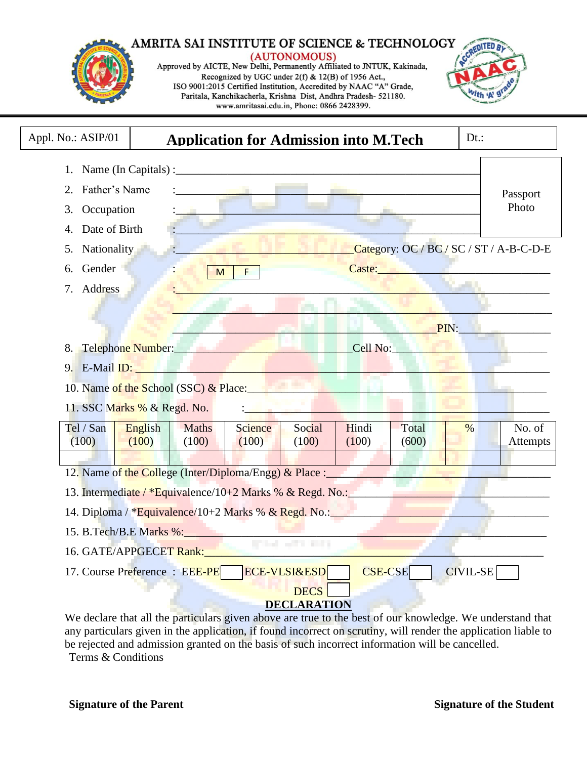#### AMRITA SAI INSTITUTE OF SCIENCE & TECHNOLOGY (AUTONOMOUS) Approved by AICTE, New Delhi, Permanently Affiliated to JNTUK, Kakinada, Recognized by UGC under 2(f) & 12(B) of 1956 Act., ISO 9001:2015 Certified Institution, Accredited by NAAC "A" Grade, Paritala, Kanchikacherla, Krishna Dist, Andhra Pradesh- 521180.

www.amritasai.edu.in, Phone: 0866 2428399.



| Appl. No.: ASIP/01<br>Dt:<br><b>Application for Admission into M.Tech</b>                                                                                                                                                                        |                                |              |         |                          |                |             |                 |          |  |
|--------------------------------------------------------------------------------------------------------------------------------------------------------------------------------------------------------------------------------------------------|--------------------------------|--------------|---------|--------------------------|----------------|-------------|-----------------|----------|--|
|                                                                                                                                                                                                                                                  |                                |              |         |                          |                |             |                 |          |  |
| Father's Name<br>2.                                                                                                                                                                                                                              |                                |              |         |                          |                |             |                 | Passport |  |
| Occupation<br>3.                                                                                                                                                                                                                                 |                                |              |         |                          |                |             |                 | Photo    |  |
| Date of Birth<br>4.                                                                                                                                                                                                                              |                                |              |         |                          |                |             |                 |          |  |
| Nationality<br>Category: OC / BC / SC / ST / A-B-C-D-E<br>5.                                                                                                                                                                                     |                                |              |         |                          |                |             |                 |          |  |
| Gender<br>6.                                                                                                                                                                                                                                     | Caste: New York 1988<br>M<br>F |              |         |                          |                |             |                 |          |  |
| 7. Address                                                                                                                                                                                                                                       |                                |              |         |                          |                |             |                 |          |  |
|                                                                                                                                                                                                                                                  |                                |              |         |                          |                |             |                 |          |  |
|                                                                                                                                                                                                                                                  |                                |              |         |                          |                | <b>PIN:</b> |                 |          |  |
| Telephone Number: The Contract of the Contract of the Contract of the Contract of the Contract of the Contract of the Contract of the Contract of the Contract of the Contract of the Contract of the Contract of the Contract<br>Cell No:<br>8. |                                |              |         |                          |                |             |                 |          |  |
| 9. E-Mail ID: The Contract of the Contract of the Contract of the Contract of the Contract of the Contract of the Contract of the Contract of the Contract of the Contract of the Contract of the Contract of the Contract of                    |                                |              |         |                          |                |             |                 |          |  |
| 10. Name of the School (SSC) & Place:                                                                                                                                                                                                            |                                |              |         |                          |                |             |                 |          |  |
| 11. SSC Marks % & Regd. No.                                                                                                                                                                                                                      |                                |              |         |                          |                |             |                 |          |  |
| Tel / San                                                                                                                                                                                                                                        | English                        | <b>Maths</b> | Science | Social                   | Hindi          | Total       | $\frac{0}{6}$   | No. of   |  |
| (100)                                                                                                                                                                                                                                            | (100)                          | (100)        | (100)   | (100)                    | (100)          | (600)       |                 | Attempts |  |
|                                                                                                                                                                                                                                                  |                                |              |         |                          |                |             |                 |          |  |
| 12. Name of the College (Inter/Diploma/Engg) & Place :                                                                                                                                                                                           |                                |              |         |                          |                |             |                 |          |  |
| 13. Intermediate / *Equivalence/10+2 Marks % & Regd. No.:                                                                                                                                                                                        |                                |              |         |                          |                |             |                 |          |  |
| 14. Diploma / *Equivalence/10+2 Marks % & Regd. No.:                                                                                                                                                                                             |                                |              |         |                          |                |             |                 |          |  |
| 15. B. Tech/B.E Marks %:                                                                                                                                                                                                                         |                                |              |         |                          |                |             |                 |          |  |
| 16. GATE/APPGECET Rank:                                                                                                                                                                                                                          |                                |              |         | <b>Contract Contract</b> |                |             |                 |          |  |
| 17. Course Preference : EEE-PE                                                                                                                                                                                                                   |                                |              |         | <b>ECE-VLSI&amp;ESD</b>  | <b>CSE-CSE</b> |             | <b>CIVIL-SE</b> |          |  |
|                                                                                                                                                                                                                                                  |                                |              |         | <b>DECS</b>              |                |             |                 |          |  |
|                                                                                                                                                                                                                                                  |                                |              |         | <b>DECLARATION</b>       |                |             |                 |          |  |

We declare that all the particulars given above are true to the best of our knowledge. We understand that any particulars given in the application, if found incorrect on scrutiny, will render the application liable to be rejected and admission granted on the basis of such incorrect information will be cancelled. Terms & Conditions